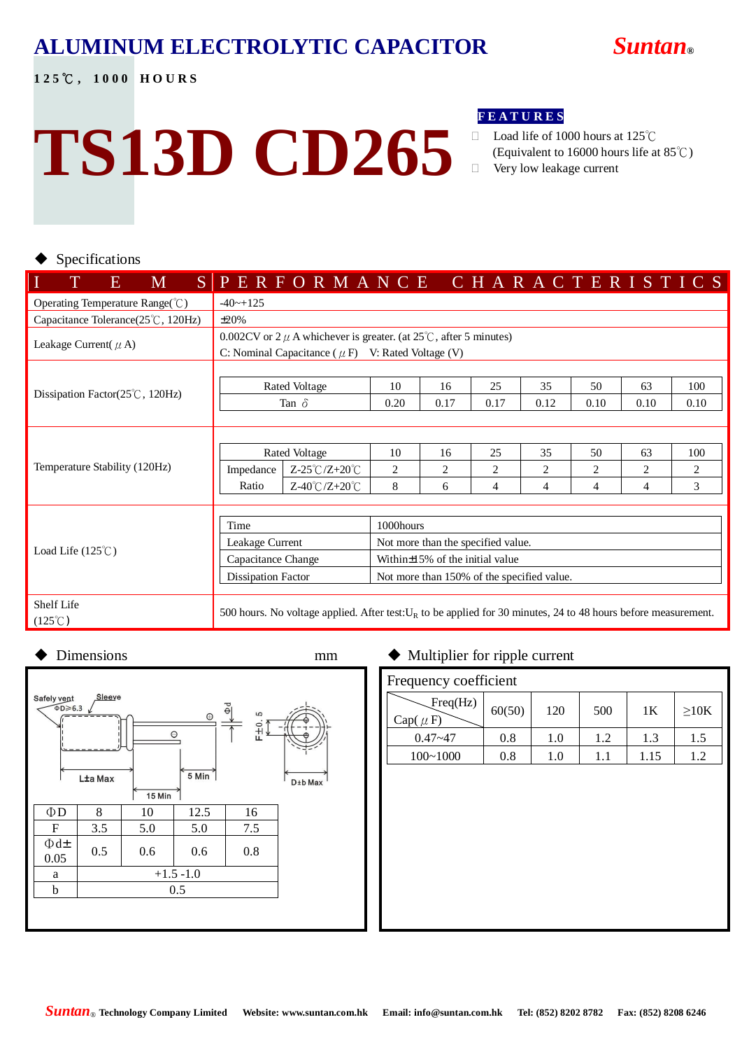#### **ALUMINUM ELECTROLYTIC CAPACITOR** *Suntan***®**

**1 2 5** ℃ **, 1 0 0 0 H O U R S**



# **TS13D CD265**

#### **F E A T U R E S**

- Load life of 1000 hours at 125℃ (Equivalent to 16000 hours life at 85℃)
- Very low leakage current

#### Specifications

| I<br>T<br>M<br>E                                        | SPERFORMANCE CHARACTERISTICS                                                                                      |                               |  |                                            |           |      |  |                |                |                |  |      |  |      |
|---------------------------------------------------------|-------------------------------------------------------------------------------------------------------------------|-------------------------------|--|--------------------------------------------|-----------|------|--|----------------|----------------|----------------|--|------|--|------|
| Operating Temperature Range( $\degree$ C)               | $-40 \rightarrow +125$                                                                                            |                               |  |                                            |           |      |  |                |                |                |  |      |  |      |
| Capacitance Tolerance(25°C, 120Hz)                      | $\pm 20\%$                                                                                                        |                               |  |                                            |           |      |  |                |                |                |  |      |  |      |
| Leakage Current( $\mu$ A)                               | 0.002CV or $2 \mu$ A whichever is greater. (at $25^{\circ}$ C, after 5 minutes)                                   |                               |  |                                            |           |      |  |                |                |                |  |      |  |      |
|                                                         | C: Nominal Capacitance ( $\mu$ F) V: Rated Voltage (V)                                                            |                               |  |                                            |           |      |  |                |                |                |  |      |  |      |
|                                                         | Rated Voltage                                                                                                     |                               |  | 10                                         |           | 16   |  | 25             | 35             | 50             |  | 63   |  | 100  |
| Dissipation Factor $(25^{\circ}\text{C}, 120\text{Hz})$ | Tan $\delta$                                                                                                      |                               |  | 0.20                                       |           | 0.17 |  | 0.17           | 0.12           | 0.10           |  | 0.10 |  | 0.10 |
|                                                         |                                                                                                                   |                               |  |                                            |           |      |  |                |                |                |  |      |  |      |
|                                                         |                                                                                                                   |                               |  |                                            |           |      |  |                |                |                |  |      |  |      |
|                                                         | Rated Voltage                                                                                                     |                               |  | 10                                         |           | 16   |  | 25             | 35             | 50             |  | 63   |  | 100  |
| Temperature Stability (120Hz)                           | Impedance                                                                                                         | $Z-25^{\circ}C/Z+20^{\circ}C$ |  | 2                                          |           | 2    |  | $\overline{c}$ | $\overline{c}$ | 2              |  | 2    |  | 2    |
|                                                         | Ratio                                                                                                             | $Z-40^{\circ}C/Z+20^{\circ}C$ |  | 8                                          |           | 6    |  | 4              | 4              | $\overline{4}$ |  | 4    |  | 3    |
|                                                         |                                                                                                                   |                               |  |                                            |           |      |  |                |                |                |  |      |  |      |
|                                                         | Time                                                                                                              |                               |  |                                            | 1000hours |      |  |                |                |                |  |      |  |      |
|                                                         | Leakage Current                                                                                                   |                               |  | Not more than the specified value.         |           |      |  |                |                |                |  |      |  |      |
| Load Life $(125^{\circ}C)$                              | Capacitance Change                                                                                                |                               |  | Within $\pm$ 15% of the initial value      |           |      |  |                |                |                |  |      |  |      |
|                                                         | Dissipation Factor                                                                                                |                               |  | Not more than 150% of the specified value. |           |      |  |                |                |                |  |      |  |      |
| Shelf Life                                              |                                                                                                                   |                               |  |                                            |           |      |  |                |                |                |  |      |  |      |
| $(125^{\circ}\text{C})$                                 | 500 hours. No voltage applied. After test: $U_R$ to be applied for 30 minutes, 24 to 48 hours before measurement. |                               |  |                                            |           |      |  |                |                |                |  |      |  |      |

#### Dimensions mm  $\bullet$  Multiplier for ripple current Safely vent Sleeve  $\Phi$ D $\geqslant$  6.3  $= 10.5$  $\odot$  $\circ$ 5 Min<sup>7</sup> L±a Max D±b Max 15 Min  $\Phi$ D | 8 | 10 | 12.5 | 16  $F \begin{array}{|c|c|c|c|c|c|} \hline 3.5 & 5.0 & 5.0 & 7.5 \ \hline \end{array}$ Φd±  $\begin{array}{|c|c|c|c|c|c|} \hline \text{Q.u.} & 0.5 & 0.6 & 0.6 & 0.8 \ \hline \end{array}$ a  $+1.5 -1.0$ b 0.5

| Frequency coefficient    |        |     |     |      |      |  |  |  |  |  |  |
|--------------------------|--------|-----|-----|------|------|--|--|--|--|--|--|
| Freq(Hz)<br>$Cap(\mu F)$ | 60(50) | 120 | 500 | 1K   | >10K |  |  |  |  |  |  |
| $0.47 - 47$              | 0.8    | 1.0 | 1.2 | 1.3  | 1.5  |  |  |  |  |  |  |
| $100 - 1000$             | 0.8    | 1.0 | 1.1 | 1.15 | 1.2  |  |  |  |  |  |  |